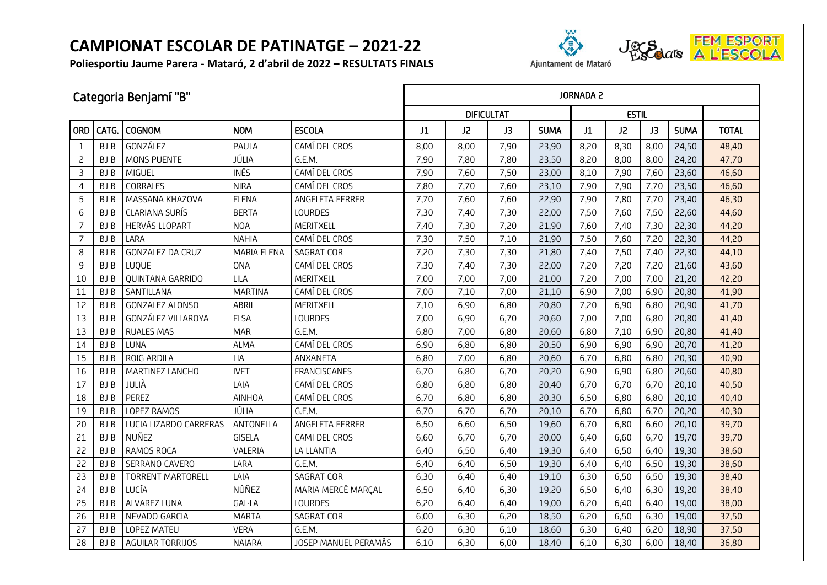**Poliesportiu Jaume Parera - Mataró, 2 d'abril de 2022 – RESULTATS FINALS**





Ajuntament de Mataró

|                 | Categoria Benjamí "B" |                          |                    |                      |      | <b>JORNADA 2</b>  |      |             |      |              |      |             |              |  |  |
|-----------------|-----------------------|--------------------------|--------------------|----------------------|------|-------------------|------|-------------|------|--------------|------|-------------|--------------|--|--|
|                 |                       |                          |                    |                      |      | <b>DIFICULTAT</b> |      |             |      | <b>ESTIL</b> |      |             |              |  |  |
| <b>ORD</b>      | CATG.                 | <b>COGNOM</b>            | <b>NOM</b>         | <b>ESCOLA</b>        | J1   | J2                | J3   | <b>SUMA</b> | J1   | J2           | J3   | <b>SUMA</b> | <b>TOTAL</b> |  |  |
| $\mathbf{1}$    | <b>BJB</b>            | GONZÁLEZ                 | PAULA              | CAMÍ DEL CROS        | 8,00 | 8,00              | 7,90 | 23,90       | 8,20 | 8,30         | 8,00 | 24,50       | 48,40        |  |  |
| 2               | <b>BJB</b>            | MONS PUENTE              | JÚLIA              | G.E.M.               | 7,90 | 7,80              | 7,80 | 23,50       | 8,20 | 8,00         | 8,00 | 24,20       | 47,70        |  |  |
| 3               | <b>BJB</b>            | <b>MIGUEL</b>            | <b>INÉS</b>        | CAMÍ DEL CROS        | 7,90 | 7,60              | 7,50 | 23,00       | 8,10 | 7,90         | 7,60 | 23,60       | 46,60        |  |  |
| 4               | <b>BJB</b>            | CORRALES                 | <b>NIRA</b>        | CAMÍ DEL CROS        | 7,80 | 7,70              | 7,60 | 23,10       | 7,90 | 7,90         | 7,70 | 23,50       | 46,60        |  |  |
| 5               | <b>BJB</b>            | MASSANA KHAZOVA          | <b>ELENA</b>       | ANGELETA FERRER      | 7,70 | 7,60              | 7,60 | 22,90       | 7,90 | 7,80         | 7,70 | 23,40       | 46,30        |  |  |
| $6\phantom{1}6$ | <b>BJB</b>            | <b>CLARIANA SURÍS</b>    | <b>BERTA</b>       | LOURDES              | 7,30 | 7,40              | 7,30 | 22,00       | 7,50 | 7,60         | 7,50 | 22,60       | 44,60        |  |  |
| $\overline{7}$  | BJ B                  | HERVÁS LLOPART           | <b>NOA</b>         | MERITXELL            | 7,40 | 7,30              | 7,20 | 21,90       | 7,60 | 7,40         | 7,30 | 22,30       | 44,20        |  |  |
| $\overline{7}$  | <b>BJB</b>            | LARA                     | <b>NAHIA</b>       | CAMÍ DEL CROS        | 7,30 | 7,50              | 7,10 | 21,90       | 7,50 | 7,60         | 7,20 | 22,30       | 44,20        |  |  |
| 8               | BJ B                  | <b>GONZALEZ DA CRUZ</b>  | <b>MARIA ELENA</b> | <b>SAGRAT COR</b>    | 7,20 | 7,30              | 7,30 | 21,80       | 7,40 | 7,50         | 7,40 | 22,30       | 44,10        |  |  |
| 9               | <b>BJB</b>            | LUQUE                    | <b>ONA</b>         | CAMÍ DEL CROS        | 7,30 | 7,40              | 7,30 | 22,00       | 7,20 | 7,20         | 7,20 | 21,60       | 43,60        |  |  |
| 10              | BJ B                  | QUINTANA GARRIDO         | LILA               | MERITXELL            | 7,00 | 7,00              | 7,00 | 21,00       | 7,20 | 7,00         | 7,00 | 21,20       | 42,20        |  |  |
| 11              | <b>BJB</b>            | SANTILLANA               | <b>MARTINA</b>     | CAMÍ DEL CROS        | 7,00 | 7,10              | 7,00 | 21,10       | 6,90 | 7,00         | 6,90 | 20,80       | 41,90        |  |  |
| 12              | <b>BJB</b>            | <b>GONZALEZ ALONSO</b>   | ABRIL              | MERITXELL            | 7,10 | 6,90              | 6,80 | 20,80       | 7,20 | 6,90         | 6,80 | 20,90       | 41,70        |  |  |
| 13              | BJ B                  | GONZÁLEZ VILLAROYA       | <b>ELSA</b>        | <b>LOURDES</b>       | 7,00 | 6,90              | 6,70 | 20,60       | 7,00 | 7,00         | 6,80 | 20,80       | 41,40        |  |  |
| 13              | <b>BJB</b>            | <b>RUALES MAS</b>        | <b>MAR</b>         | G.E.M.               | 6,80 | 7,00              | 6,80 | 20,60       | 6,80 | 7,10         | 6,90 | 20,80       | 41,40        |  |  |
| 14              | <b>BJB</b>            | LUNA                     | <b>ALMA</b>        | CAMÍ DEL CROS        | 6,90 | 6,80              | 6,80 | 20,50       | 6,90 | 6,90         | 6,90 | 20,70       | 41,20        |  |  |
| 15              | <b>BJB</b>            | ROIG ARDILA              | LIA                | ANXANETA             | 6,80 | 7,00              | 6,80 | 20,60       | 6,70 | 6,80         | 6,80 | 20,30       | 40,90        |  |  |
| 16              | <b>BJB</b>            | MARTINEZ LANCHO          | <b>IVET</b>        | <b>FRANCISCANES</b>  | 6,70 | 6,80              | 6,70 | 20,20       | 6,90 | 6,90         | 6,80 | 20,60       | 40,80        |  |  |
| 17              | <b>BJB</b>            | JULIÀ                    | LAIA               | CAMÍ DEL CROS        | 6,80 | 6,80              | 6,80 | 20,40       | 6,70 | 6,70         | 6,70 | 20,10       | 40,50        |  |  |
| 18              | <b>BJB</b>            | PEREZ                    | <b>AINHOA</b>      | CAMÍ DEL CROS        | 6,70 | 6,80              | 6,80 | 20,30       | 6,50 | 6,80         | 6,80 | 20,10       | 40,40        |  |  |
| 19              | BJ B                  | LOPEZ RAMOS              | JÚLIA              | G.E.M.               | 6,70 | 6,70              | 6,70 | 20,10       | 6,70 | 6,80         | 6,70 | 20,20       | 40,30        |  |  |
| 20              | BJ B                  | LUCIA LIZARDO CARRERAS   | ANTONELLA          | ANGELETA FERRER      | 6,50 | 6,60              | 6,50 | 19,60       | 6,70 | 6,80         | 6,60 | 20,10       | 39,70        |  |  |
| 21              | <b>BJB</b>            | NUÑEZ                    | <b>GISELA</b>      | CAMI DEL CROS        | 6,60 | 6,70              | 6,70 | 20,00       | 6,40 | 6,60         | 6,70 | 19,70       | 39,70        |  |  |
| 22              | <b>BJB</b>            | RAMOS ROCA               | VALERIA            | LA LLANTIA           | 6,40 | 6,50              | 6,40 | 19,30       | 6,40 | 6,50         | 6,40 | 19,30       | 38,60        |  |  |
| 22              | <b>BJB</b>            | SERRANO CAVERO           | LARA               | G.E.M.               | 6,40 | 6,40              | 6,50 | 19,30       | 6,40 | 6,40         | 6,50 | 19,30       | 38,60        |  |  |
| 23              | BJ B                  | <b>TORRENT MARTORELL</b> | LAIA               | <b>SAGRAT COR</b>    | 6,30 | 6,40              | 6,40 | 19,10       | 6,30 | 6,50         | 6,50 | 19,30       | 38,40        |  |  |
| 24              | BJ B                  | LUCÍA                    | NÚÑEZ              | MARIA MERCÈ MARÇAL   | 6,50 | 6,40              | 6,30 | 19,20       | 6,50 | 6,40         | 6,30 | 19,20       | 38,40        |  |  |
| 25              | BJ B                  | ALVAREZ LUNA             | <b>GAL·LA</b>      | <b>LOURDES</b>       | 6,20 | 6,40              | 6,40 | 19,00       | 6,20 | 6,40         | 6,40 | 19,00       | 38,00        |  |  |
| 26              | BJ B                  | NEVADO GARCIA            | <b>MARTA</b>       | SAGRAT COR           | 6,00 | 6,30              | 6,20 | 18,50       | 6,20 | 6,50         | 6,30 | 19,00       | 37,50        |  |  |
| 27              | <b>BJB</b>            | LOPEZ MATEU              | <b>VERA</b>        | G.E.M.               | 6,20 | 6,30              | 6,10 | 18,60       | 6,30 | 6,40         | 6,20 | 18,90       | 37,50        |  |  |
| 28              | BJ B                  | AGUILAR TORRIJOS         | <b>NAIARA</b>      | JOSEP MANUEL PERAMÀS | 6,10 | 6,30              | 6,00 | 18,40       | 6,10 | 6,30         | 6,00 | 18,40       | 36,80        |  |  |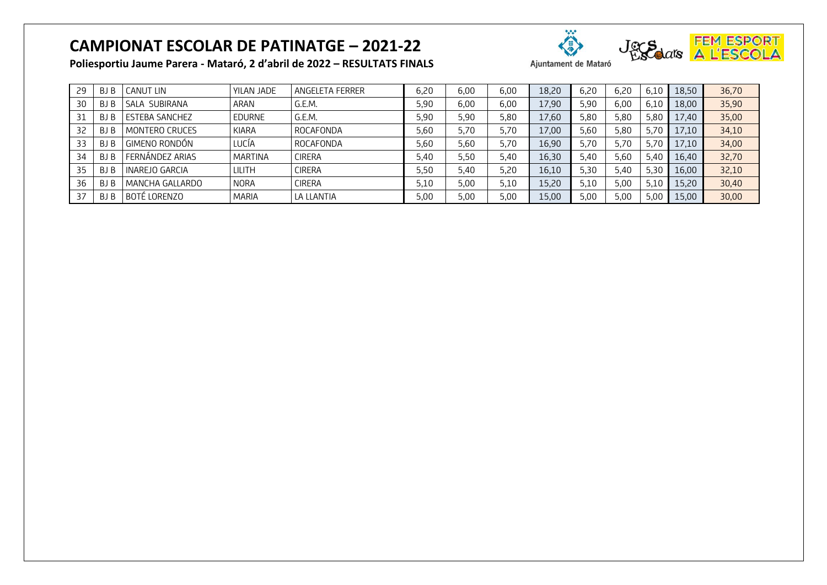**Poliesportiu Jaume Parera - Mataró, 2 d'abril de 2022 – RESULTATS FINALS**



Ajuntament de Mataró

29 BJ B CANUT LIN YILAN JADE ANGELETA FERRER 6,20 6,00 6,00 18,20 6,20 6,20 6,10 18,50 36,70 30 BJ B SALA SUBIRANA | ARAN | G.E.M. 5,90 | 6,00 | 6,00 | 5,90 | 6,00 | 6,10 | 18,00 <mark>| 35,90</mark> 31 | BJ B | ESTEBA SANCHEZ | EDURNE | G.E.M. | 5,90 | 5,80 | 17,60 | 5,80 | 5,80 | 5,80 | 17,40 | 35,00

|    | ט נט | LJILUA JAIVUTLA       | ᆫᆫ᠐ᇅᇅ        | ◡.∟.!*!.      | J,JU | J,JU | J,UU | 1,00  | J,UU | J,UU | J,UU | $L$ , $T$ | JJ,UU |
|----|------|-----------------------|--------------|---------------|------|------|------|-------|------|------|------|-----------|-------|
| 32 | BJ B | <b>MONTERO CRUCES</b> | KIARA        | ROCAFONDA     | 5,60 | 5,70 | 5,70 | 17,00 | 5.60 | 5.80 | 5.70 | 17.10     | 34,10 |
| 33 | BJ B | GIMENO RONDÓN         | UCÍA.        | ROCAFONDA     | 5,60 | 5,60 | 5,70 | 16,90 | 5.70 | 5.70 | 5.70 | 17.10     | 34,00 |
| 34 | BJ B | FERNÁNDEZ ARIAS       | MARTINA      | <b>CIRERA</b> | 5,40 | 5,50 | 5,40 | 16,30 | 5.40 | 5,60 | 5.40 | 16.40     | 32,70 |
|    | BJ B | INAREJO GARCIA        | lilith       | <b>CIRERA</b> | 5,50 | 5,40 | 5,20 | 16,10 | 5,30 | 5,40 | 5.30 | 16.00     | 32,10 |
| 36 | BJ B | MANCHA GALLARDO       | <b>NORA</b>  | <b>CIRERA</b> | 5,10 | 5,00 | 5,10 | 15,20 | 5,10 | 5,00 | 5.10 | 15.20     | 30,40 |
|    | BJ B | l BOTÉ LORENZO        | <b>MARIA</b> | LA LLANTIA    | 5,00 | 5.00 | 5,00 | 15,00 | 5,00 | 5,00 | 5,00 | 15.00     | 30,00 |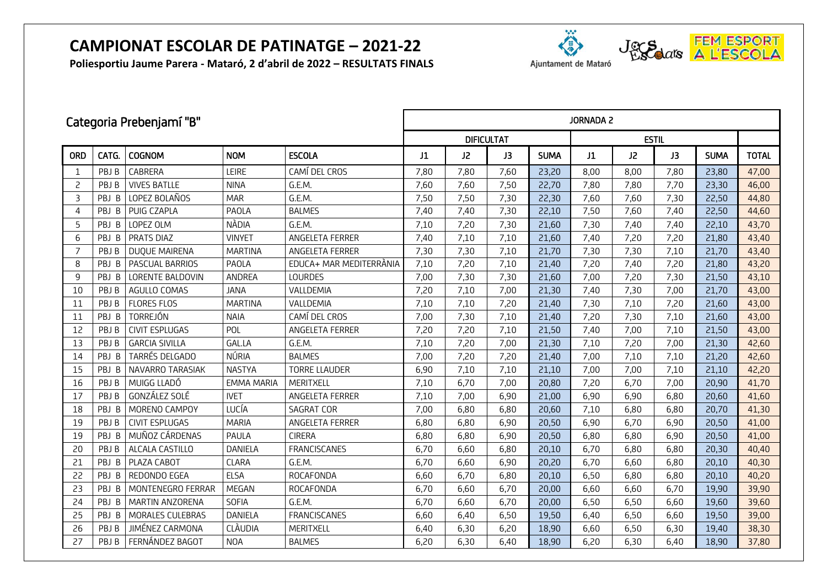**Poliesportiu Jaume Parera - Mataró, 2 d'abril de 2022 – RESULTATS FINALS**



|                | Categoria Prebenjamí "B" |                       |                   |                         |      | <b>JORNADA 2</b>  |      |             |              |      |      |             |              |  |
|----------------|--------------------------|-----------------------|-------------------|-------------------------|------|-------------------|------|-------------|--------------|------|------|-------------|--------------|--|
|                |                          |                       |                   |                         |      | <b>DIFICULTAT</b> |      |             | <b>ESTIL</b> |      |      |             |              |  |
| ORD            | CATG.                    | <b>COGNOM</b>         | <b>NOM</b>        | <b>ESCOLA</b>           | J1   | J2                | J3   | <b>SUMA</b> | J1           | J2   | J3   | <b>SUMA</b> | <b>TOTAL</b> |  |
| 1              | PBJ B                    | CABRERA               | LEIRE             | CAMÍ DEL CROS           | 7,80 | 7,80              | 7,60 | 23,20       | 8,00         | 8,00 | 7,80 | 23,80       | 47,00        |  |
| $\overline{c}$ | PBJ B                    | <b>VIVES BATLLE</b>   | <b>NINA</b>       | G.E.M.                  | 7,60 | 7,60              | 7,50 | 22,70       | 7,80         | 7,80 | 7,70 | 23,30       | 46,00        |  |
| 3              | PBJ B                    | LOPEZ BOLAÑOS         | <b>MAR</b>        | G.E.M.                  | 7,50 | 7,50              | 7,30 | 22,30       | 7,60         | 7,60 | 7,30 | 22,50       | 44,80        |  |
| 4              | PBJ B                    | PUIG CZAPLA           | PAOLA             | <b>BALMES</b>           | 7,40 | 7,40              | 7,30 | 22,10       | 7,50         | 7,60 | 7,40 | 22,50       | 44,60        |  |
| 5              | PBJ B                    | LOPEZ OLM             | NÀDIA             | G.E.M.                  | 7,10 | 7,20              | 7,30 | 21,60       | 7,30         | 7,40 | 7,40 | 22,10       | 43,70        |  |
| 6              | PBJ B                    | PRATS DIAZ            | <b>VINYET</b>     | ANGELETA FERRER         | 7,40 | 7,10              | 7,10 | 21,60       | 7,40         | 7,20 | 7,20 | 21,80       | 43,40        |  |
| $\overline{7}$ | PBJ B                    | DUQUE MAIRENA         | <b>MARTINA</b>    | ANGELETA FERRER         | 7,30 | 7,30              | 7,10 | 21,70       | 7,30         | 7,30 | 7,10 | 21,70       | 43,40        |  |
| 8              | PBJ B                    | PASCUAL BARRIOS       | PAOLA             | EDUCA+ MAR MEDITERRÀNIA | 7,10 | 7,20              | 7,10 | 21,40       | 7,20         | 7,40 | 7,20 | 21,80       | 43,20        |  |
| 9              | PBJ B                    | LORENTE BALDOVIN      | <b>ANDREA</b>     | <b>LOURDES</b>          | 7,00 | 7,30              | 7,30 | 21,60       | 7,00         | 7,20 | 7,30 | 21,50       | 43,10        |  |
| 10             | PBJ B                    | AGULLO COMAS          | <b>JANA</b>       | VALLDEMIA               | 7,20 | 7,10              | 7,00 | 21,30       | 7,40         | 7,30 | 7,00 | 21,70       | 43,00        |  |
| 11             | PBJ B                    | <b>FLORES FLOS</b>    | <b>MARTINA</b>    | VALLDEMIA               | 7,10 | 7,10              | 7,20 | 21,40       | 7,30         | 7,10 | 7,20 | 21,60       | 43,00        |  |
| 11             | PBJ B                    | TORREJÓN              | <b>NAIA</b>       | CAMÍ DEL CROS           | 7,00 | 7,30              | 7,10 | 21,40       | 7,20         | 7,30 | 7,10 | 21,60       | 43,00        |  |
| 12             | PBJ B                    | <b>CIVIT ESPLUGAS</b> | POL               | ANGELETA FERRER         | 7,20 | 7,20              | 7,10 | 21,50       | 7,40         | 7,00 | 7,10 | 21,50       | 43,00        |  |
| 13             | PBJ B                    | <b>GARCIA SIVILLA</b> | GAL.LA            | G.E.M.                  | 7,10 | 7,20              | 7,00 | 21,30       | 7,10         | 7,20 | 7,00 | 21,30       | 42,60        |  |
| 14             | PBJ B                    | TARRÉS DELGADO        | NÚRIA             | <b>BALMES</b>           | 7,00 | 7,20              | 7,20 | 21,40       | 7,00         | 7,10 | 7,10 | 21,20       | 42,60        |  |
| 15             | PBJ B                    | NAVARRO TARASIAK      | <b>NASTYA</b>     | <b>TORRE LLAUDER</b>    | 6,90 | 7,10              | 7,10 | 21,10       | 7,00         | 7,00 | 7,10 | 21,10       | 42,20        |  |
| 16             | PBJ B                    | MUIGG LLADÓ           | <b>EMMA MARIA</b> | MERITXELL               | 7,10 | 6,70              | 7,00 | 20,80       | 7,20         | 6,70 | 7,00 | 20,90       | 41,70        |  |
| 17             | PBJ B                    | GONZÁLEZ SOLÉ         | <b>IVET</b>       | ANGELETA FERRER         | 7,10 | 7,00              | 6,90 | 21,00       | 6,90         | 6,90 | 6,80 | 20,60       | 41,60        |  |
| 18             | PBJ B                    | MORENO CAMPOY         | LUCÍA             | <b>SAGRAT COR</b>       | 7,00 | 6,80              | 6,80 | 20,60       | 7,10         | 6,80 | 6,80 | 20,70       | 41,30        |  |
| 19             | PBJ B                    | <b>CIVIT ESPLUGAS</b> | <b>MARIA</b>      | ANGELETA FERRER         | 6,80 | 6,80              | 6,90 | 20,50       | 6,90         | 6,70 | 6,90 | 20,50       | 41,00        |  |
| 19             | PBJ B                    | MUÑOZ CÁRDENAS        | PAULA             | <b>CIRERA</b>           | 6,80 | 6,80              | 6,90 | 20,50       | 6,80         | 6,80 | 6,90 | 20,50       | 41,00        |  |
| 20             | PBJ B                    | ALCALA CASTILLO       | DANIELA           | <b>FRANCISCANES</b>     | 6,70 | 6,60              | 6,80 | 20,10       | 6,70         | 6,80 | 6,80 | 20,30       | 40,40        |  |
| 21             | PBJ B                    | PLAZA CABOT           | <b>CLARA</b>      | G.E.M.                  | 6,70 | 6,60              | 6,90 | 20,20       | 6,70         | 6,60 | 6,80 | 20,10       | 40,30        |  |
| 22             | PBJ B                    | REDONDO EGEA          | <b>ELSA</b>       | <b>ROCAFONDA</b>        | 6,60 | 6,70              | 6,80 | 20,10       | 6,50         | 6,80 | 6,80 | 20,10       | 40,20        |  |
| 23             | PBJ B                    | MONTENEGRO FERRAR     | MEGAN             | ROCAFONDA               | 6,70 | 6,60              | 6,70 | 20,00       | 6,60         | 6,60 | 6,70 | 19,90       | 39,90        |  |
| 24             | PBJ B                    | MARTIN ANZORENA       | <b>SOFIA</b>      | G.E.M.                  | 6,70 | 6,60              | 6,70 | 20,00       | 6,50         | 6,50 | 6,60 | 19,60       | 39,60        |  |
| 25             | PBJ B                    | MORALES CULEBRAS      | DANIELA           | <b>FRANCISCANES</b>     | 6,60 | 6,40              | 6,50 | 19,50       | 6,40         | 6,50 | 6,60 | 19,50       | 39,00        |  |
| 26             | PBJ B                    | JIMÉNEZ CARMONA       | <b>CLÀUDIA</b>    | MERITXELL               | 6,40 | 6,30              | 6,20 | 18,90       | 6,60         | 6,50 | 6,30 | 19,40       | 38,30        |  |
| 27             | PBJ B                    | FERNÁNDEZ BAGOT       | <b>NOA</b>        | <b>BALMES</b>           | 6,20 | 6,30              | 6,40 | 18,90       | 6,20         | 6,30 | 6,40 | 18,90       | 37,80        |  |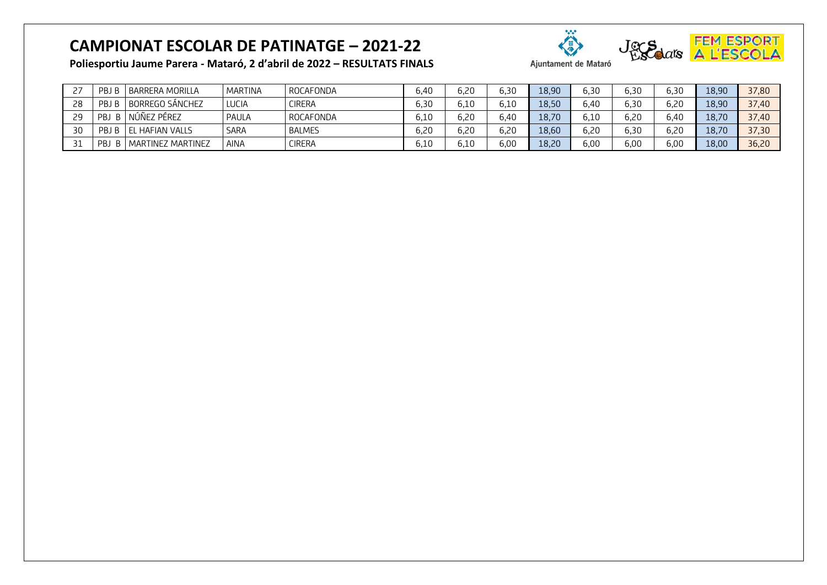

**Poliesportiu Jaume Parera - Mataró, 2 d'abril de 2022 – RESULTATS FINALS**

| <u>.</u> | PB               | <b>BARRERA MORILLA</b>     | MARTINA     | ROCAFONDA     | 6.40 | 6,20         | 6,30 | 18,90 | 6,30 | 6,30 | 6,30 | 18.90 | 37,80 |
|----------|------------------|----------------------------|-------------|---------------|------|--------------|------|-------|------|------|------|-------|-------|
| 28       | PB.              | <b>BORREGO SÁNCHEZ</b>     | LUCIA       | <b>CIRERA</b> | 6.30 | 6.10         | 6,10 | 18,50 | 6.40 | 6,30 | 6,20 | 18,90 | 37,40 |
| 29       | <b>PBJ</b><br>B. | NÚÑEZ PÉREZ                | PAULA       | ROCAFONDA     | 6.10 | 6,20         | 6,40 | 18,70 | 6.10 | 6,20 | 6,40 | 18,70 | 37,40 |
| 30       | PBJ              | <b>LEL HAFIAN VALLS</b>    | SARA        | <b>BALMES</b> | 6,20 | 6,20         | 6,20 | 18,60 | 6.20 | 6,30 | 6,20 | 18,70 | 37,30 |
|          | PBJ<br>B.        | <b>I MARTINEZ MARTINEZ</b> | <b>AINA</b> | <b>CIRERA</b> | 6.10 | $\delta$ ,10 | 6,00 | 18,20 | 6.00 | 6,00 | 6,00 | 18,00 | 36,20 |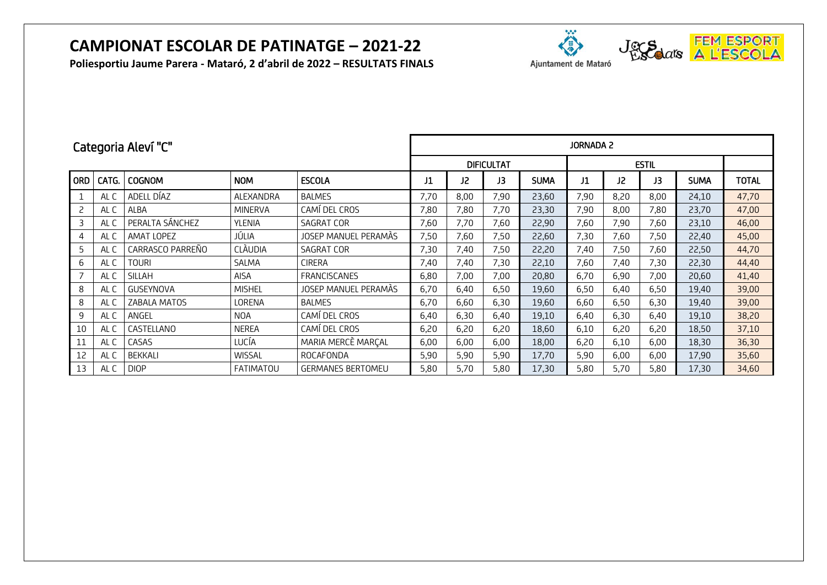**Poliesportiu Jaume Parera - Mataró, 2 d'abril de 2022 – RESULTATS FINALS**





Ajuntament de Mataró

|            | Categoria Aleví "C" |                  |                  |                          |      | <b>JORNADA 2</b> |                   |             |      |      |      |             |              |  |  |
|------------|---------------------|------------------|------------------|--------------------------|------|------------------|-------------------|-------------|------|------|------|-------------|--------------|--|--|
|            |                     |                  |                  |                          |      |                  | <b>DIFICULTAT</b> |             |      |      |      |             |              |  |  |
| <b>ORD</b> | CATG.               | <b>COGNOM</b>    | <b>NOM</b>       | <b>ESCOLA</b>            | J1   | J2               | J3                | <b>SUMA</b> | J1   | J2   | J3   | <b>SUMA</b> | <b>TOTAL</b> |  |  |
| 1          | AL C                | ADELL DÍAZ       | ALEXANDRA        | <b>BALMES</b>            | 7,70 | 8,00             | 7,90              | 23,60       | 7,90 | 8,20 | 8,00 | 24,10       | 47,70        |  |  |
| 2          | AL C                | ALBA             | <b>MINERVA</b>   | CAMÍ DEL CROS            | 7,80 | 7,80             | 7,70              | 23,30       | 7,90 | 8,00 | 7,80 | 23,70       | 47,00        |  |  |
| 3          | AL C                | PERALTA SÁNCHEZ  | <b>YLENIA</b>    | SAGRAT COR               | 7,60 | 7,70             | 7,60              | 22,90       | 7,60 | 7,90 | 7,60 | 23,10       | 46,00        |  |  |
| 4          | AL C                | AMAT LOPEZ       | JÚLIA            | JOSEP MANUEL PERAMÁS     | 7,50 | 7,60             | 7,50              | 22,60       | 7,30 | 7,60 | 7,50 | 22,40       | 45,00        |  |  |
| 5          | AL C                | CARRASCO PARREÑO | <b>CLÀUDIA</b>   | SAGRAT COR               | 7,30 | 7,40             | 7,50              | 22,20       | 7,40 | 7,50 | 7,60 | 22,50       | 44,70        |  |  |
| 6          | AL C                | TOURI            | SALMA            | <b>CIRERA</b>            | 7,40 | 7,40             | 7,30              | 22,10       | 7,60 | 7,40 | 7,30 | 22,30       | 44,40        |  |  |
|            | AL C                | SILLAH           | <b>AISA</b>      | <b>FRANCISCANES</b>      | 6,80 | 7,00             | 7,00              | 20,80       | 6,70 | 6,90 | 7,00 | 20,60       | 41,40        |  |  |
| 8          | AL C                | <b>GUSEYNOVA</b> | <b>MISHEL</b>    | JOSEP MANUEL PERAMÀS     | 6,70 | 6,40             | 6,50              | 19,60       | 6,50 | 6,40 | 6,50 | 19,40       | 39,00        |  |  |
| 8          | AL C                | ZABALA MATOS     | LORENA           | <b>BALMES</b>            | 6,70 | 6,60             | 6,30              | 19,60       | 6,60 | 6,50 | 6,30 | 19,40       | 39,00        |  |  |
| 9          | AL C                | ANGEL            | <b>NOA</b>       | CAMÍ DEL CROS            | 6,40 | 6,30             | 6,40              | 19,10       | 6,40 | 6,30 | 6,40 | 19,10       | 38,20        |  |  |
| 10         | AL C                | CASTELLANO       | <b>NEREA</b>     | CAMÍ DEL CROS            | 6,20 | 6,20             | 6,20              | 18,60       | 6,10 | 6,20 | 6,20 | 18,50       | 37,10        |  |  |
| 11         | AL C                | CASAS            | LUCÍA            | MARIA MERCÈ MARÇAL       | 6,00 | 6,00             | 6,00              | 18,00       | 6,20 | 6,10 | 6,00 | 18,30       | 36,30        |  |  |
| 12         | AL C                | <b>BEKKALI</b>   | <b>WISSAL</b>    | ROCAFONDA                | 5,90 | 5,90             | 5,90              | 17,70       | 5,90 | 6,00 | 6,00 | 17,90       | 35,60        |  |  |
| 13         | AL C                | <b>DIOP</b>      | <b>FATIMATOU</b> | <b>GERMANES BERTOMEU</b> | 5,80 | 5,70             | 5,80              | 17,30       | 5,80 | 5,70 | 5,80 | 17,30       | 34,60        |  |  |